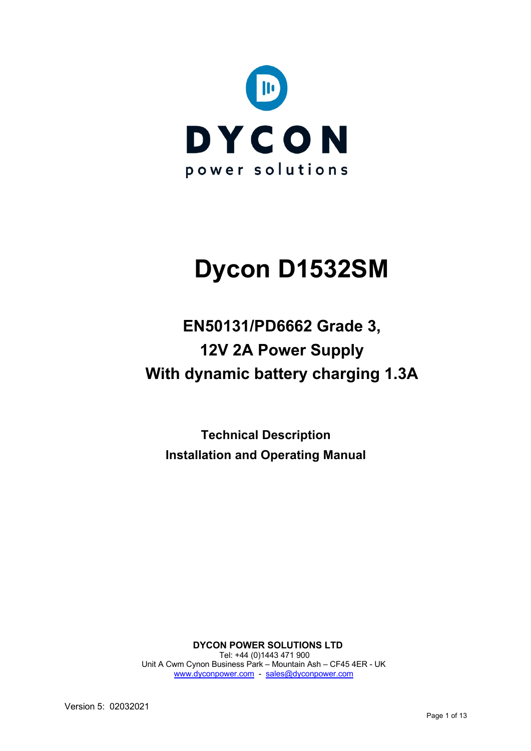

# **Dycon D1532SM**

## **EN50131/PD6662 Grade 3, 12V 2A Power Supply With dynamic battery charging 1.3A**

**Technical Description Installation and Operating Manual**

**DYCON POWER SOLUTIONS LTD** Tel: +44 (0)1443 471 900 Unit A Cwm Cynon Business Park – Mountain Ash – CF45 4ER - UK www.dyconpower.com - sales@dyconpower.com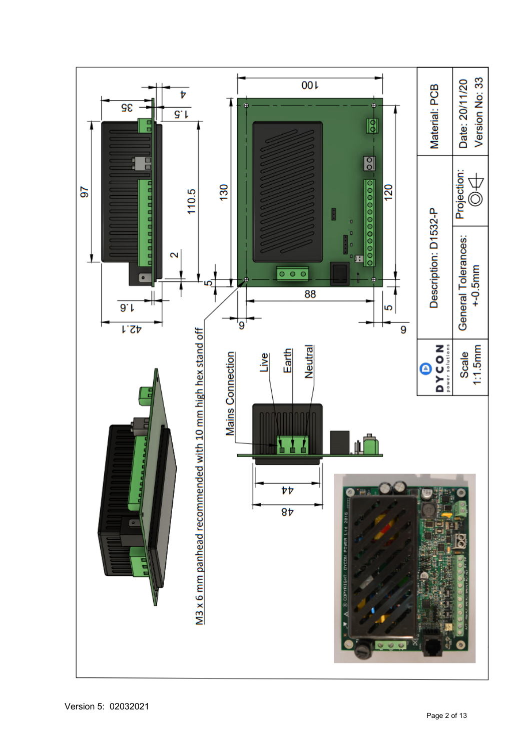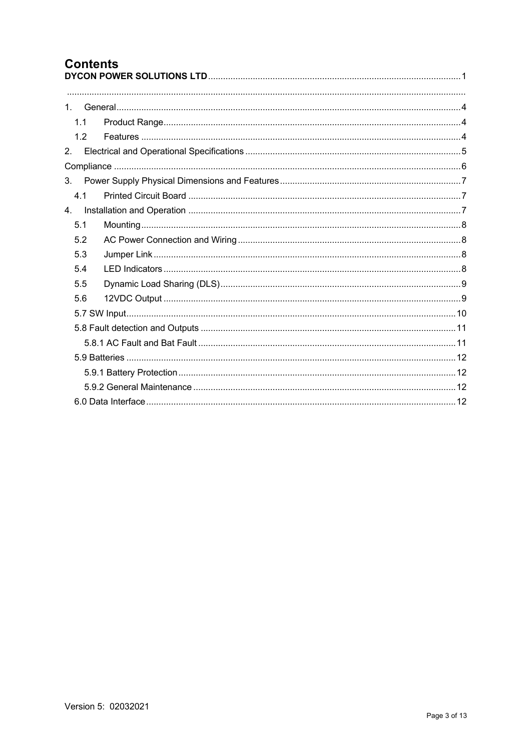## **Contents**

| 1.1 |  |
|-----|--|
| 1.2 |  |
| 2.  |  |
|     |  |
| 3.  |  |
| 4.1 |  |
| 4.  |  |
| 5.1 |  |
| 5.2 |  |
| 5.3 |  |
| 5.4 |  |
| 5.5 |  |
| 5.6 |  |
|     |  |
|     |  |
|     |  |
|     |  |
|     |  |
|     |  |
|     |  |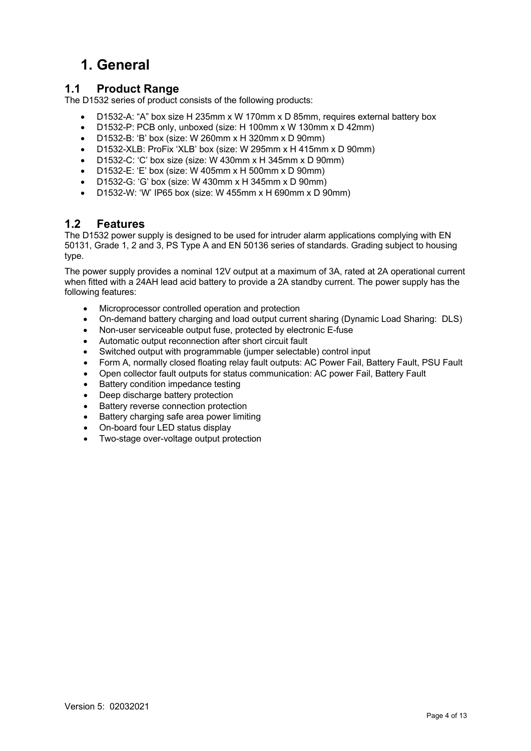## **1. General**

#### **1.1 Product Range**

The D1532 series of product consists of the following products:

- D1532-A: "A" box size H 235mm x W 170mm x D 85mm, requires external battery box
- D1532-P: PCB only, unboxed (size: H 100mm x W 130mm x D 42mm)
- D1532-B: 'B' box (size: W 260mm x H 320mm x D 90mm)
- D1532-XLB: ProFix 'XLB' box (size: W 295mm x H 415mm x D 90mm)
- D1532-C: 'C' box size (size: W 430mm x H 345mm x D 90mm)
- D1532-E: 'E' box (size: W 405mm x H 500mm x D 90mm)
- D1532-G: 'G' box (size: W 430mm x H 345mm x D 90mm)
- D1532-W: 'W' IP65 box (size: W 455mm x H 690mm x D 90mm)

#### **1.2 Features**

The D1532 power supply is designed to be used for intruder alarm applications complying with EN 50131, Grade 1, 2 and 3, PS Type A and EN 50136 series of standards. Grading subject to housing type.

The power supply provides a nominal 12V output at a maximum of 3A, rated at 2A operational current when fitted with a 24AH lead acid battery to provide a 2A standby current. The power supply has the following features:

- Microprocessor controlled operation and protection
- On-demand battery charging and load output current sharing (Dynamic Load Sharing: DLS)
- Non-user serviceable output fuse, protected by electronic E-fuse
- Automatic output reconnection after short circuit fault
- Switched output with programmable (jumper selectable) control input
- Form A, normally closed floating relay fault outputs: AC Power Fail, Battery Fault, PSU Fault
- Open collector fault outputs for status communication: AC power Fail, Battery Fault
- Battery condition impedance testing
- Deep discharge battery protection
- Battery reverse connection protection
- Battery charging safe area power limiting
- On-board four LED status display
- Two-stage over-voltage output protection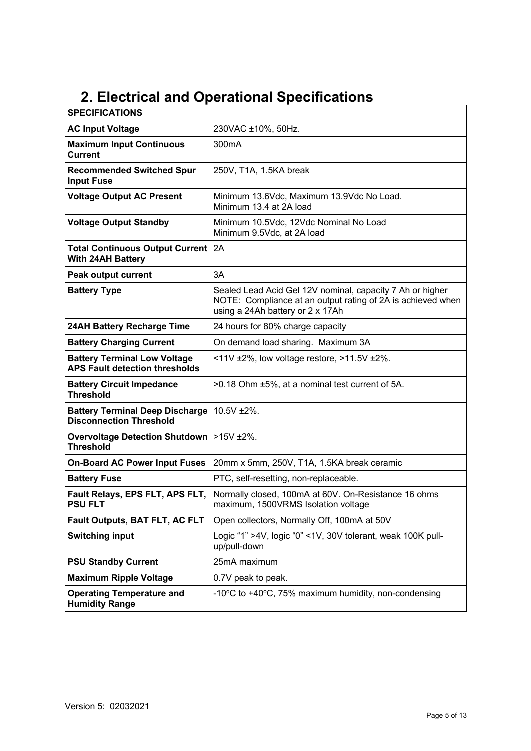## **2. Electrical and Operational Specifications**

| <b>SPECIFICATIONS</b>                                                        |                                                                                                                                                              |
|------------------------------------------------------------------------------|--------------------------------------------------------------------------------------------------------------------------------------------------------------|
| <b>AC Input Voltage</b>                                                      | 230VAC ±10%, 50Hz.                                                                                                                                           |
| <b>Maximum Input Continuous</b><br><b>Current</b>                            | 300mA                                                                                                                                                        |
| <b>Recommended Switched Spur</b><br><b>Input Fuse</b>                        | 250V, T1A, 1.5KA break                                                                                                                                       |
| <b>Voltage Output AC Present</b>                                             | Minimum 13.6Vdc, Maximum 13.9Vdc No Load.<br>Minimum 13.4 at 2A load                                                                                         |
| <b>Voltage Output Standby</b>                                                | Minimum 10.5Vdc, 12Vdc Nominal No Load<br>Minimum 9.5Vdc, at 2A load                                                                                         |
| <b>Total Continuous Output Current</b><br><b>With 24AH Battery</b>           | 2A                                                                                                                                                           |
| <b>Peak output current</b>                                                   | 3A                                                                                                                                                           |
| <b>Battery Type</b>                                                          | Sealed Lead Acid Gel 12V nominal, capacity 7 Ah or higher<br>NOTE: Compliance at an output rating of 2A is achieved when<br>using a 24Ah battery or 2 x 17Ah |
| 24AH Battery Recharge Time                                                   | 24 hours for 80% charge capacity                                                                                                                             |
| <b>Battery Charging Current</b>                                              | On demand load sharing. Maximum 3A                                                                                                                           |
| <b>Battery Terminal Low Voltage</b><br><b>APS Fault detection thresholds</b> | <11V $\pm 2\%$ , low voltage restore, >11.5V $\pm 2\%$ .                                                                                                     |
| <b>Battery Circuit Impedance</b><br><b>Threshold</b>                         | >0.18 Ohm ±5%, at a nominal test current of 5A.                                                                                                              |
| <b>Battery Terminal Deep Discharge</b><br><b>Disconnection Threshold</b>     | 10.5V ±2%.                                                                                                                                                   |
| <b>Overvoltage Detection Shutdown</b><br><b>Threshold</b>                    | $>15V$ ±2%.                                                                                                                                                  |
| <b>On-Board AC Power Input Fuses</b>                                         | 20mm x 5mm, 250V, T1A, 1.5KA break ceramic                                                                                                                   |
| <b>Battery Fuse</b>                                                          | PTC, self-resetting, non-replaceable.                                                                                                                        |
| Fault Relays, EPS FLT, APS FLT,<br><b>PSU FLT</b>                            | Normally closed, 100mA at 60V. On-Resistance 16 ohms<br>maximum, 1500VRMS Isolation voltage                                                                  |
| <b>Fault Outputs, BAT FLT, AC FLT</b>                                        | Open collectors, Normally Off, 100mA at 50V                                                                                                                  |
| <b>Switching input</b>                                                       | Logic "1" >4V, logic "0" <1V, 30V tolerant, weak 100K pull-<br>up/pull-down                                                                                  |
| <b>PSU Standby Current</b>                                                   | 25mA maximum                                                                                                                                                 |
| <b>Maximum Ripple Voltage</b>                                                | 0.7V peak to peak.                                                                                                                                           |
| <b>Operating Temperature and</b><br><b>Humidity Range</b>                    | -10°C to +40°C, 75% maximum humidity, non-condensing                                                                                                         |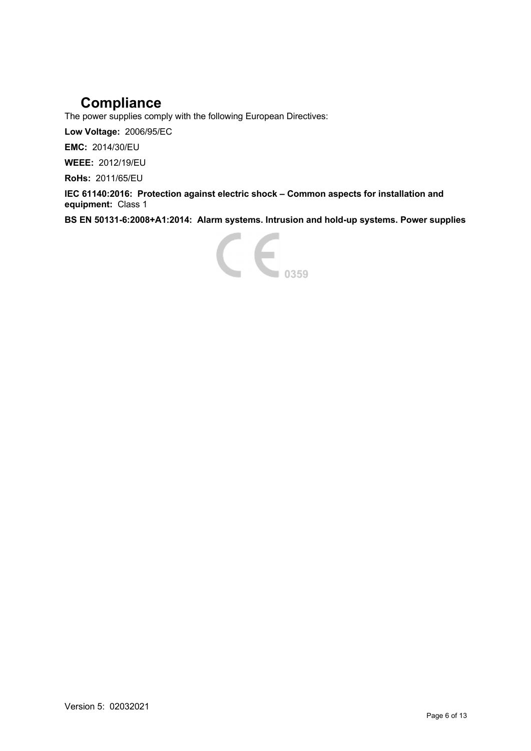## **Compliance**

The power supplies comply with the following European Directives:

**Low Voltage:** 2006/95/EC

**EMC:** 2014/30/EU

**WEEE:** 2012/19/EU

**RoHs:** 2011/65/EU

**IEC 61140:2016: Protection against electric shock – Common aspects for installation and equipment:** Class 1

**BS EN 50131-6:2008+A1:2014: Alarm systems. Intrusion and hold-up systems. Power supplies**

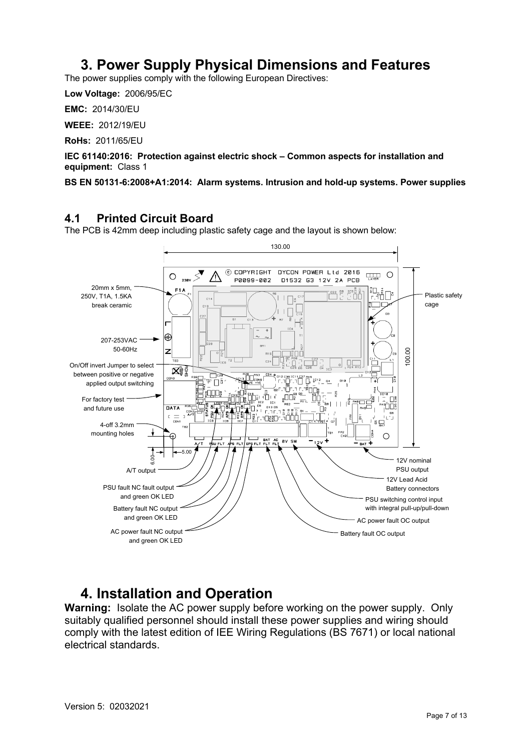### **3. Power Supply Physical Dimensions and Features**

The power supplies comply with the following European Directives:

**Low Voltage:** 2006/95/EC

**EMC:** 2014/30/EU

**WEEE:** 2012/19/EU

**RoHs:** 2011/65/EU

**IEC 61140:2016: Protection against electric shock – Common aspects for installation and equipment:** Class 1

**BS EN 50131-6:2008+A1:2014: Alarm systems. Intrusion and hold-up systems. Power supplies**

#### **4.1 Printed Circuit Board**

The PCB is 42mm deep including plastic safety cage and the layout is shown below:



### **4. Installation and Operation**

**Warning:** Isolate the AC power supply before working on the power supply. Only suitably qualified personnel should install these power supplies and wiring should comply with the latest edition of IEE Wiring Regulations (BS 7671) or local national electrical standards.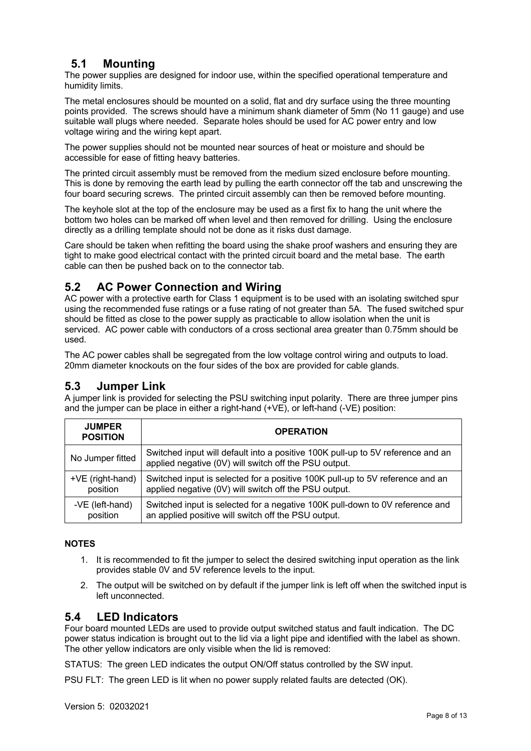#### **5.1 Mounting**

The power supplies are designed for indoor use, within the specified operational temperature and humidity limits.

The metal enclosures should be mounted on a solid, flat and dry surface using the three mounting points provided. The screws should have a minimum shank diameter of 5mm (No 11 gauge) and use suitable wall plugs where needed. Separate holes should be used for AC power entry and low voltage wiring and the wiring kept apart.

The power supplies should not be mounted near sources of heat or moisture and should be accessible for ease of fitting heavy batteries.

The printed circuit assembly must be removed from the medium sized enclosure before mounting. This is done by removing the earth lead by pulling the earth connector off the tab and unscrewing the four board securing screws. The printed circuit assembly can then be removed before mounting.

The keyhole slot at the top of the enclosure may be used as a first fix to hang the unit where the bottom two holes can be marked off when level and then removed for drilling. Using the enclosure directly as a drilling template should not be done as it risks dust damage.

Care should be taken when refitting the board using the shake proof washers and ensuring they are tight to make good electrical contact with the printed circuit board and the metal base. The earth cable can then be pushed back on to the connector tab.

#### **5.2 AC Power Connection and Wiring**

AC power with a protective earth for Class 1 equipment is to be used with an isolating switched spur using the recommended fuse ratings or a fuse rating of not greater than 5A. The fused switched spur should be fitted as close to the power supply as practicable to allow isolation when the unit is serviced. AC power cable with conductors of a cross sectional area greater than 0.75mm should be used.

The AC power cables shall be segregated from the low voltage control wiring and outputs to load. 20mm diameter knockouts on the four sides of the box are provided for cable glands.

#### **5.3 Jumper Link**

A jumper link is provided for selecting the PSU switching input polarity. There are three jumper pins and the jumper can be place in either a right-hand  $(+\vee E)$ , or left-hand  $(-\vee E)$  position:

| <b>JUMPER</b><br><b>POSITION</b> | <b>OPERATION</b>                                                                                                                         |
|----------------------------------|------------------------------------------------------------------------------------------------------------------------------------------|
| No Jumper fitted                 | Switched input will default into a positive 100K pull-up to 5V reference and an<br>applied negative (0V) will switch off the PSU output. |
| +VE (right-hand)                 | Switched input is selected for a positive 100K pull-up to 5V reference and an                                                            |
| position                         | applied negative (0V) will switch off the PSU output.                                                                                    |
| -VE (left-hand)                  | Switched input is selected for a negative 100K pull-down to 0V reference and                                                             |
| position                         | an applied positive will switch off the PSU output.                                                                                      |

#### **NOTES**

- 1. It is recommended to fit the jumper to select the desired switching input operation as the link provides stable 0V and 5V reference levels to the input.
- 2. The output will be switched on by default if the jumper link is left off when the switched input is left unconnected.

#### **5.4 LED Indicators**

Four board mounted LEDs are used to provide output switched status and fault indication. The DC power status indication is brought out to the lid via a light pipe and identified with the label as shown. The other yellow indicators are only visible when the lid is removed:

STATUS: The green LED indicates the output ON/Off status controlled by the SW input.

PSU FLT: The green LED is lit when no power supply related faults are detected (OK).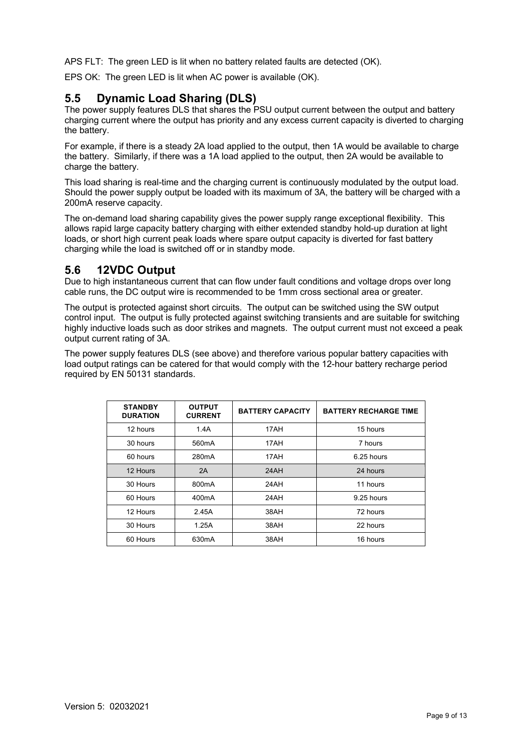APS FLT: The green LED is lit when no battery related faults are detected (OK).

EPS OK: The green LED is lit when AC power is available (OK).

#### **5.5 Dynamic Load Sharing (DLS)**

The power supply features DLS that shares the PSU output current between the output and battery charging current where the output has priority and any excess current capacity is diverted to charging the battery.

For example, if there is a steady 2A load applied to the output, then 1A would be available to charge the battery. Similarly, if there was a 1A load applied to the output, then 2A would be available to charge the battery.

This load sharing is real-time and the charging current is continuously modulated by the output load. Should the power supply output be loaded with its maximum of 3A, the battery will be charged with a 200mA reserve capacity.

The on-demand load sharing capability gives the power supply range exceptional flexibility. This allows rapid large capacity battery charging with either extended standby hold-up duration at light loads, or short high current peak loads where spare output capacity is diverted for fast battery charging while the load is switched off or in standby mode.

#### **5.6 12VDC Output**

Due to high instantaneous current that can flow under fault conditions and voltage drops over long cable runs, the DC output wire is recommended to be 1mm cross sectional area or greater.

The output is protected against short circuits. The output can be switched using the SW output control input. The output is fully protected against switching transients and are suitable for switching highly inductive loads such as door strikes and magnets. The output current must not exceed a peak output current rating of 3A.

The power supply features DLS (see above) and therefore various popular battery capacities with load output ratings can be catered for that would comply with the 12-hour battery recharge period required by EN 50131 standards.

| <b>STANDBY</b><br><b>DURATION</b> | <b>OUTPUT</b><br><b>CURRENT</b> | <b>BATTERY CAPACITY</b> | <b>BATTERY RECHARGE TIME</b> |
|-----------------------------------|---------------------------------|-------------------------|------------------------------|
| 12 hours                          | 1.4A                            | 17AH                    | 15 hours                     |
| 30 hours                          | 560 <sub>m</sub> A              | 17AH                    | 7 hours                      |
| 60 hours                          | 280 <sub>m</sub> A              | 17AH                    | 6.25 hours                   |
| 12 Hours                          | 2A                              | 24AH                    | 24 hours                     |
| 30 Hours                          | 800 <sub>m</sub> A              | 24AH                    | 11 hours                     |
| 60 Hours                          | 400 <sub>m</sub> A              | 24AH                    | 9.25 hours                   |
| 12 Hours                          | 2.45A                           | 38AH                    | 72 hours                     |
| 30 Hours                          | 1.25A                           | 38AH                    | 22 hours                     |
| 60 Hours                          | 630mA                           | 38AH                    | 16 hours                     |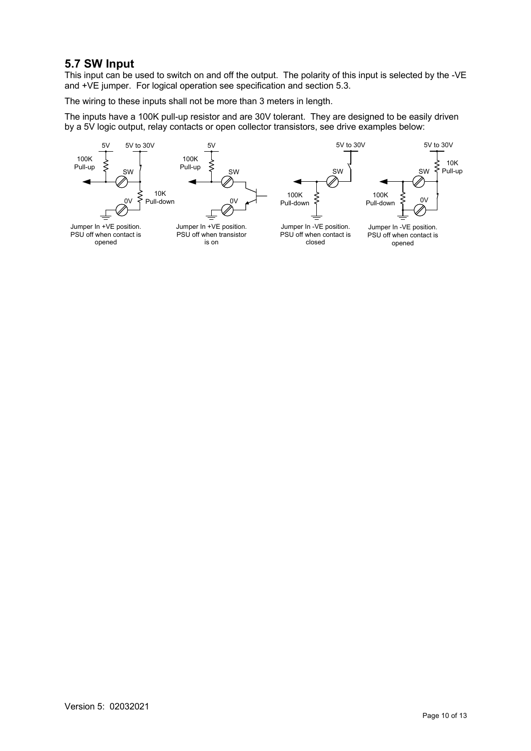#### **5.7 SW Input**

This input can be used to switch on and off the output. The polarity of this input is selected by the -VE and +VE jumper. For logical operation see specification and section 5.3.

The wiring to these inputs shall not be more than 3 meters in length.

The inputs have a 100K pull-up resistor and are 30V tolerant. They are designed to be easily driven by a 5V logic output, relay contacts or open collector transistors, see drive examples below:

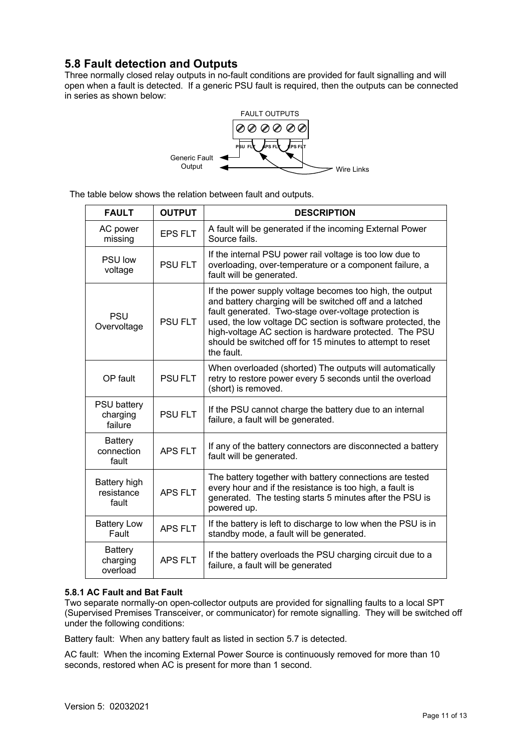#### **5.8 Fault detection and Outputs**

Three normally closed relay outputs in no-fault conditions are provided for fault signalling and will open when a fault is detected. If a generic PSU fault is required, then the outputs can be connected in series as shown below:



The table below shows the relation between fault and outputs.

| <b>FAULT</b>                              | <b>OUTPUT</b>  | <b>DESCRIPTION</b>                                                                                                                                                                                                                                                                                                                                                               |
|-------------------------------------------|----------------|----------------------------------------------------------------------------------------------------------------------------------------------------------------------------------------------------------------------------------------------------------------------------------------------------------------------------------------------------------------------------------|
| AC power<br>missing                       | <b>EPS FLT</b> | A fault will be generated if the incoming External Power<br>Source fails.                                                                                                                                                                                                                                                                                                        |
| <b>PSU low</b><br>voltage                 | <b>PSU FLT</b> | If the internal PSU power rail voltage is too low due to<br>overloading, over-temperature or a component failure, a<br>fault will be generated.                                                                                                                                                                                                                                  |
| <b>PSU</b><br>Overvoltage                 | <b>PSU FLT</b> | If the power supply voltage becomes too high, the output<br>and battery charging will be switched off and a latched<br>fault generated. Two-stage over-voltage protection is<br>used, the low voltage DC section is software protected, the<br>high-voltage AC section is hardware protected. The PSU<br>should be switched off for 15 minutes to attempt to reset<br>the fault. |
| OP fault                                  | <b>PSUFLT</b>  | When overloaded (shorted) The outputs will automatically<br>retry to restore power every 5 seconds until the overload<br>(short) is removed.                                                                                                                                                                                                                                     |
| <b>PSU battery</b><br>charging<br>failure | <b>PSU FLT</b> | If the PSU cannot charge the battery due to an internal<br>failure, a fault will be generated.                                                                                                                                                                                                                                                                                   |
| <b>Battery</b><br>connection<br>fault     | <b>APS FLT</b> | If any of the battery connectors are disconnected a battery<br>fault will be generated.                                                                                                                                                                                                                                                                                          |
| Battery high<br>resistance<br>fault       | <b>APS FLT</b> | The battery together with battery connections are tested<br>every hour and if the resistance is too high, a fault is<br>generated. The testing starts 5 minutes after the PSU is<br>powered up.                                                                                                                                                                                  |
| <b>Battery Low</b><br>Fault               | <b>APS FLT</b> | If the battery is left to discharge to low when the PSU is in<br>standby mode, a fault will be generated.                                                                                                                                                                                                                                                                        |
| <b>Battery</b><br>charging<br>overload    | <b>APS FLT</b> | If the battery overloads the PSU charging circuit due to a<br>failure, a fault will be generated                                                                                                                                                                                                                                                                                 |

#### **5.8.1 AC Fault and Bat Fault**

Two separate normally-on open-collector outputs are provided for signalling faults to a local SPT (Supervised Premises Transceiver, or communicator) for remote signalling. They will be switched off under the following conditions:

Battery fault: When any battery fault as listed in section 5.7 is detected.

AC fault: When the incoming External Power Source is continuously removed for more than 10 seconds, restored when AC is present for more than 1 second.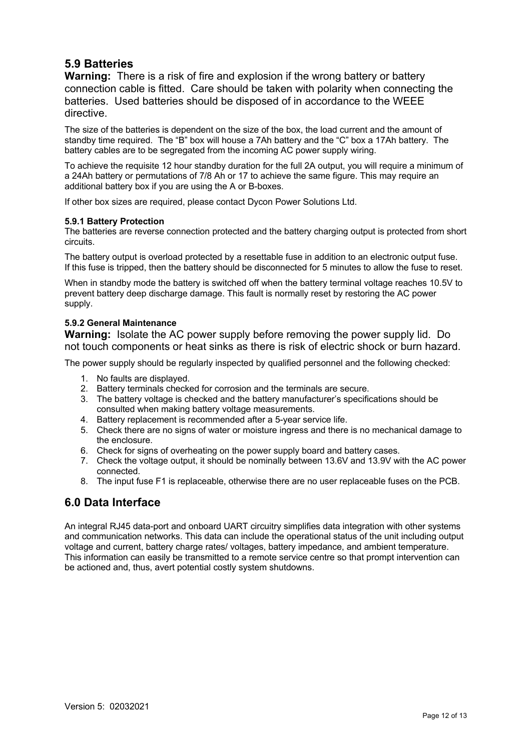#### **5.9 Batteries**

**Warning:** There is a risk of fire and explosion if the wrong battery or battery connection cable is fitted. Care should be taken with polarity when connecting the batteries. Used batteries should be disposed of in accordance to the WEEE directive.

The size of the batteries is dependent on the size of the box, the load current and the amount of standby time required. The "B" box will house a 7Ah battery and the "C" box a 17Ah battery. The battery cables are to be segregated from the incoming AC power supply wiring.

To achieve the requisite 12 hour standby duration for the full 2A output, you will require a minimum of a 24Ah battery or permutations of 7/8 Ah or 17 to achieve the same figure. This may require an additional battery box if you are using the A or B-boxes.

If other box sizes are required, please contact Dycon Power Solutions Ltd.

#### **5.9.1 Battery Protection**

The batteries are reverse connection protected and the battery charging output is protected from short circuits.

The battery output is overload protected by a resettable fuse in addition to an electronic output fuse. If this fuse is tripped, then the battery should be disconnected for 5 minutes to allow the fuse to reset.

When in standby mode the battery is switched off when the battery terminal voltage reaches 10.5V to prevent battery deep discharge damage. This fault is normally reset by restoring the AC power supply.

#### **5.9.2 General Maintenance**

**Warning:** Isolate the AC power supply before removing the power supply lid. Do not touch components or heat sinks as there is risk of electric shock or burn hazard.

The power supply should be regularly inspected by qualified personnel and the following checked:

- 1. No faults are displayed.
- 2. Battery terminals checked for corrosion and the terminals are secure.
- 3. The battery voltage is checked and the battery manufacturer's specifications should be consulted when making battery voltage measurements.
- 4. Battery replacement is recommended after a 5-year service life.
- 5. Check there are no signs of water or moisture ingress and there is no mechanical damage to the enclosure.
- 6. Check for signs of overheating on the power supply board and battery cases.
- 7. Check the voltage output, it should be nominally between 13.6V and 13.9V with the AC power connected.
- 8. The input fuse F1 is replaceable, otherwise there are no user replaceable fuses on the PCB.

#### **6.0 Data Interface**

An integral RJ45 data-port and onboard UART circuitry simplifies data integration with other systems and communication networks. This data can include the operational status of the unit including output voltage and current, battery charge rates/ voltages, battery impedance, and ambient temperature. This information can easily be transmitted to a remote service centre so that prompt intervention can be actioned and, thus, avert potential costly system shutdowns.